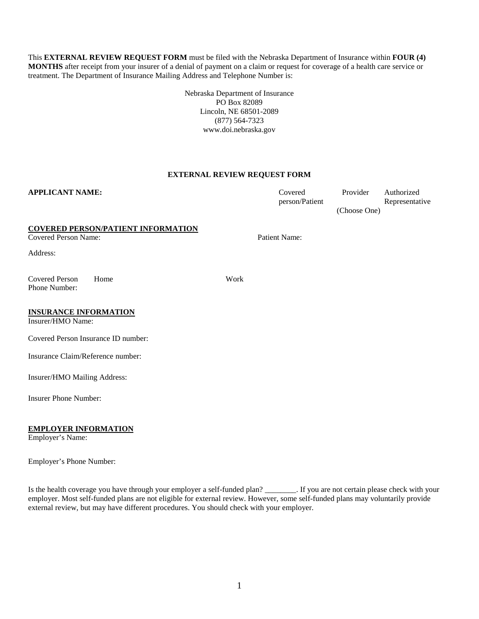This **EXTERNAL REVIEW REQUEST FORM** must be filed with the Nebraska Department of Insurance within **FOUR (4) MONTHS** after receipt from your insurer of a denial of payment on a claim or request for coverage of a health care service or treatment. The Department of Insurance Mailing Address and Telephone Number is:

> Nebraska Department of Insurance PO Box 82089 Lincoln, NE 68501-2089 (877) 564-7323 www.doi.nebraska.gov

# **EXTERNAL REVIEW REQUEST FORM**

## **APPLICANT NAME:** Covered

person/Patient

Provider Authorized Representative (Choose One)

# **COVERED PERSON/PATIENT INFORMATION**

**Covered Person Name:** Patient Name:

Address:

Covered Person Phone Number: Home Work

# **INSURANCE INFORMATION**

Insurer/HMO Name:

Covered Person Insurance ID number:

Insurance Claim/Reference number:

Insurer/HMO Mailing Address:

Insurer Phone Number:

#### **EMPLOYER INFORMATION**

Employer's Name:

Employer's Phone Number:

Is the health coverage you have through your employer a self-funded plan? \_\_\_\_\_\_\_\_. If you are not certain please check with your employer. Most self-funded plans are not eligible for external review. However, some self-funded plans may voluntarily provide external review, but may have different procedures. You should check with your employer.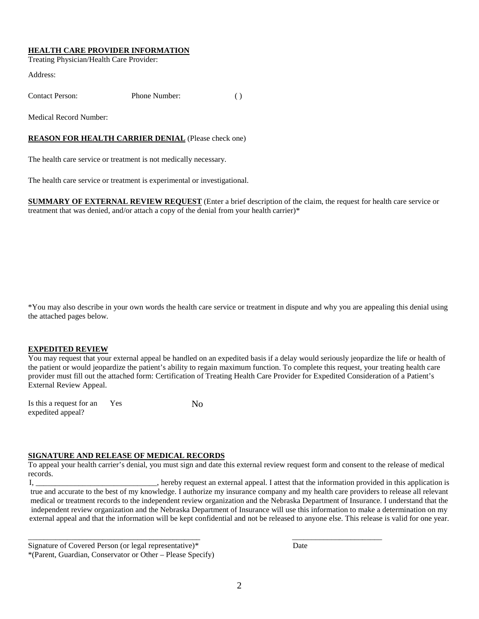#### **HEALTH CARE PROVIDER INFORMATION**

Treating Physician/Health Care Provider:

Address:

Contact Person: Phone Number: ( )

Medical Record Number:

## **REASON FOR HEALTH CARRIER DENIAL** (Please check one)

The health care service or treatment is not medically necessary.

The health care service or treatment is experimental or investigational.

**SUMMARY OF EXTERNAL REVIEW REQUEST** (Enter a brief description of the claim, the request for health care service or treatment that was denied, and/or attach a copy of the denial from your health carrier)\*

\*You may also describe in your own words the health care service or treatment in dispute and why you are appealing this denial using the attached pages below.

#### **EXPEDITED REVIEW**

You may request that your external appeal be handled on an expedited basis if a delay would seriously jeopardize the life or health of the patient or would jeopardize the patient's ability to regain maximum function. To complete this request, your treating health care provider must fill out the attached form: Certification of Treating Health Care Provider for Expedited Consideration of a Patient's External Review Appeal.

| Is this a request for an | Yes | Nο |
|--------------------------|-----|----|
| expedited appeal?        |     |    |

# **SIGNATURE AND RELEASE OF MEDICAL RECORDS**

To appeal your health carrier's denial, you must sign and date this external review request form and consent to the release of medical records.

I, \_\_\_\_\_\_\_\_\_\_\_\_\_\_\_\_\_\_\_\_\_\_\_\_\_\_\_\_\_\_\_, hereby request an external appeal. I attest that the information provided in this application is true and accurate to the best of my knowledge. I authorize my insurance company and my health care providers to release all relevant medical or treatment records to the independent review organization and the Nebraska Department of Insurance. I understand that the independent review organization and the Nebraska Department of Insurance will use this information to make a determination on my external appeal and that the information will be kept confidential and not be released to anyone else. This release is valid for one year.

\_\_\_\_\_\_\_\_\_\_\_\_\_\_\_\_\_\_\_\_\_\_\_\_\_\_\_\_\_\_\_\_\_\_\_\_\_\_\_\_\_\_\_\_ \_\_\_\_\_\_\_\_\_\_\_\_\_\_\_\_\_\_\_\_\_\_\_

Signature of Covered Person (or legal representative)\* Date \*(Parent, Guardian, Conservator or Other – Please Specify)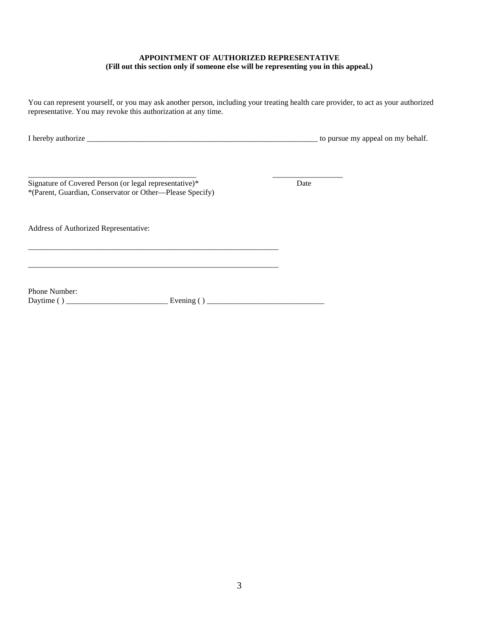# **APPOINTMENT OF AUTHORIZED REPRESENTATIVE (Fill out this section only if someone else will be representing you in this appeal.)**

You can represent yourself, or you may ask another person, including your treating health care provider, to act as your authorized representative. You may revoke this authorization at any time.

| .<br>pena |
|-----------|
|           |

\_\_\_\_\_\_\_\_\_\_\_\_\_\_\_\_\_\_\_\_\_\_\_\_\_\_\_\_\_\_\_\_\_\_\_\_\_\_\_\_\_\_\_ \_\_\_\_\_\_\_\_\_\_\_\_\_\_\_\_\_\_ Signature of Covered Person (or legal representative)\* Date \*(Parent, Guardian, Conservator or Other—Please Specify)

\_\_\_\_\_\_\_\_\_\_\_\_\_\_\_\_\_\_\_\_\_\_\_\_\_\_\_\_\_\_\_\_\_\_\_\_\_\_\_\_\_\_\_\_\_\_\_\_\_\_\_\_\_\_\_\_\_\_\_\_\_\_\_\_

\_\_\_\_\_\_\_\_\_\_\_\_\_\_\_\_\_\_\_\_\_\_\_\_\_\_\_\_\_\_\_\_\_\_\_\_\_\_\_\_\_\_\_\_\_\_\_\_\_\_\_\_\_\_\_\_\_\_\_\_\_\_\_\_

Address of Authorized Representative:

Phone Number:

Daytime ( ) \_\_\_\_\_\_\_\_\_\_\_\_\_\_\_\_\_\_\_\_\_\_\_\_\_\_ Evening ( ) \_\_\_\_\_\_\_\_\_\_\_\_\_\_\_\_\_\_\_\_\_\_\_\_\_\_\_\_\_\_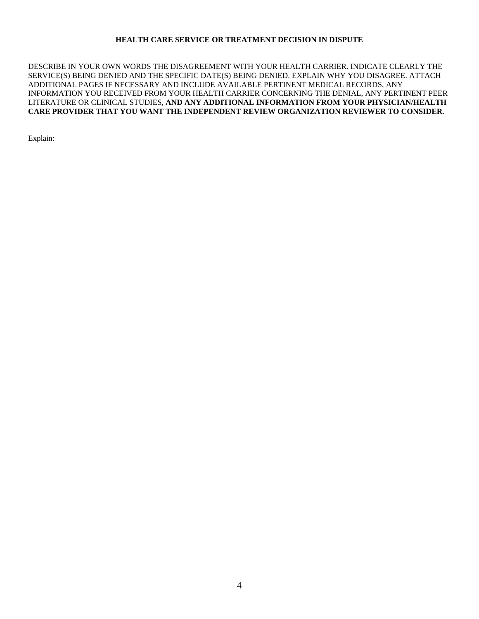## **HEALTH CARE SERVICE OR TREATMENT DECISION IN DISPUTE**

DESCRIBE IN YOUR OWN WORDS THE DISAGREEMENT WITH YOUR HEALTH CARRIER. INDICATE CLEARLY THE SERVICE(S) BEING DENIED AND THE SPECIFIC DATE(S) BEING DENIED. EXPLAIN WHY YOU DISAGREE. ATTACH ADDITIONAL PAGES IF NECESSARY AND INCLUDE AVAILABLE PERTINENT MEDICAL RECORDS, ANY INFORMATION YOU RECEIVED FROM YOUR HEALTH CARRIER CONCERNING THE DENIAL, ANY PERTINENT PEER LITERATURE OR CLINICAL STUDIES, **AND ANY ADDITIONAL INFORMATION FROM YOUR PHYSICIAN/HEALTH CARE PROVIDER THAT YOU WANT THE INDEPENDENT REVIEW ORGANIZATION REVIEWER TO CONSIDER**.

Explain: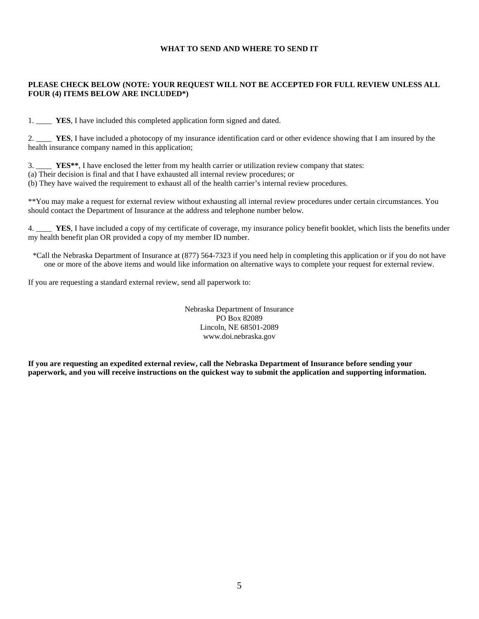## **WHAT TO SEND AND WHERE TO SEND IT**

# **PLEASE CHECK BELOW (NOTE: YOUR REQUEST WILL NOT BE ACCEPTED FOR FULL REVIEW UNLESS ALL FOUR (4) ITEMS BELOW ARE INCLUDED\*)**

1. \_\_\_\_ **YES**, I have included this completed application form signed and dated.

2. \_\_\_\_ **YES**, I have included a photocopy of my insurance identification card or other evidence showing that I am insured by the health insurance company named in this application;

3. \_\_\_\_ **YES\*\***, I have enclosed the letter from my health carrier or utilization review company that states: (a) Their decision is final and that I have exhausted all internal review procedures; or (b) They have waived the requirement to exhaust all of the health carrier's internal review procedures.

\*\*You may make a request for external review without exhausting all internal review procedures under certain circumstances. You should contact the Department of Insurance at the address and telephone number below.

4. \_\_\_\_ **YES**, I have included a copy of my certificate of coverage, my insurance policy benefit booklet, which lists the benefits under my health benefit plan OR provided a copy of my member ID number.

\*Call the Nebraska Department of Insurance at (877) 564-7323 if you need help in completing this application or if you do not have one or more of the above items and would like information on alternative ways to complete your request for external review.

If you are requesting a standard external review, send all paperwork to:

Nebraska Department of Insurance PO Box 82089 Lincoln, NE 68501-2089 www.doi.nebraska.gov

**If you are requesting an expedited external review, call the Nebraska Department of Insurance before sending your paperwork, and you will receive instructions on the quickest way to submit the application and supporting information.**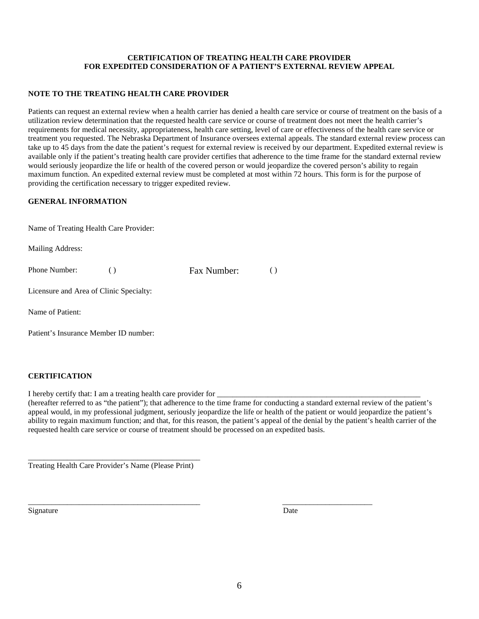# **CERTIFICATION OF TREATING HEALTH CARE PROVIDER FOR EXPEDITED CONSIDERATION OF A PATIENT'S EXTERNAL REVIEW APPEAL**

## **NOTE TO THE TREATING HEALTH CARE PROVIDER**

Patients can request an external review when a health carrier has denied a health care service or course of treatment on the basis of a utilization review determination that the requested health care service or course of treatment does not meet the health carrier's requirements for medical necessity, appropriateness, health care setting, level of care or effectiveness of the health care service or treatment you requested. The Nebraska Department of Insurance oversees external appeals. The standard external review process can take up to 45 days from the date the patient's request for external review is received by our department. Expedited external review is available only if the patient's treating health care provider certifies that adherence to the time frame for the standard external review would seriously jeopardize the life or health of the covered person or would jeopardize the covered person's ability to regain maximum function. An expedited external review must be completed at most within 72 hours. This form is for the purpose of providing the certification necessary to trigger expedited review.

# **GENERAL INFORMATION**

|  |  |  |  | Name of Treating Health Care Provider: |
|--|--|--|--|----------------------------------------|
|--|--|--|--|----------------------------------------|

Mailing Address:

Phone Number: ( ) Fax Number: ( )

Licensure and Area of Clinic Specialty:

Name of Patient:

Patient's Insurance Member ID number:

# **CERTIFICATION**

I hereby certify that: I am a treating health care provider for

(hereafter referred to as "the patient"); that adherence to the time frame for conducting a standard external review of the patient's appeal would, in my professional judgment, seriously jeopardize the life or health of the patient or would jeopardize the patient's ability to regain maximum function; and that, for this reason, the patient's appeal of the denial by the patient's health carrier of the requested health care service or course of treatment should be processed on an expedited basis.

\_\_\_\_\_\_\_\_\_\_\_\_\_\_\_\_\_\_\_\_\_\_\_\_\_\_\_\_\_\_\_\_\_\_\_\_\_\_\_\_\_\_\_\_ Treating Health Care Provider's Name (Please Print)

Signature Date

\_\_\_\_\_\_\_\_\_\_\_\_\_\_\_\_\_\_\_\_\_\_\_\_\_\_\_\_\_\_\_\_\_\_\_\_\_\_\_\_\_\_\_\_ \_\_\_\_\_\_\_\_\_\_\_\_\_\_\_\_\_\_\_\_\_\_\_